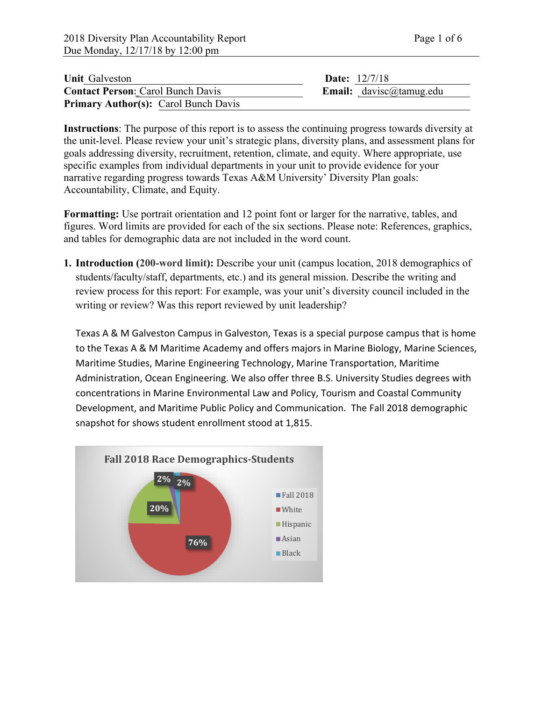| <b>Unit Galveston</b>                       | <b>Date:</b> $12/7/18$         |
|---------------------------------------------|--------------------------------|
| <b>Contact Person: Carol Bunch Davis</b>    | <b>Email:</b> davisc@tamug.edu |
| <b>Primary Author(s):</b> Carol Bunch Davis |                                |

**Instructions**: The purpose of this report is to assess the continuing progress towards diversity at the unit-level. Please review your unit's strategic plans, diversity plans, and assessment plans for goals addressing diversity, recruitment, retention, climate, and equity. Where appropriate, use specific examples from individual departments in your unit to provide evidence for your narrative regarding progress towards Texas A&M University' Diversity Plan goals: Accountability, Climate, and Equity.

**Formatting:** Use portrait orientation and 12 point font or larger for the narrative, tables, and figures. Word limits are provided for each of the six sections. Please note: References, graphics, and tables for demographic data are not included in the word count.

**1. Introduction (200-word limit):** Describe your unit (campus location, 2018 demographics of students/faculty/staff, departments, etc.) and its general mission. Describe the writing and review process for this report: For example, was your unit's diversity council included in the writing or review? Was this report reviewed by unit leadership?

Texas A & M Galveston Campus in Galveston, Texas is a special purpose campus that is home to the Texas A & M Maritime Academy and offers majors in Marine Biology, Marine Sciences, Maritime Studies, Marine Engineering Technology, Marine Transportation, Maritime Administration, Ocean Engineering. We also offer three B.S. University Studies degrees with concentrations in Marine Environmental Law and Policy, Tourism and Coastal Community Development, and Maritime Public Policy and Communication. The Fall 2018 demographic snapshot for shows student enrollment stood at 1,815.

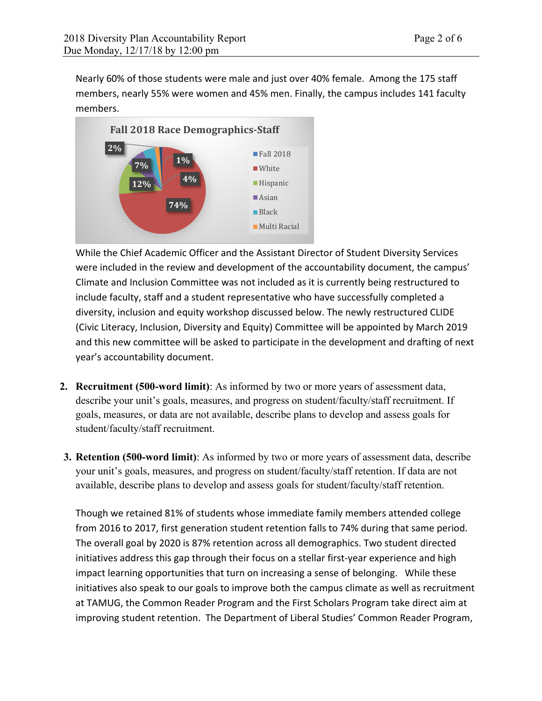Nearly 60% of those students were male and just over 40% female. Among the 175 staff members, nearly 55% were women and 45% men. Finally, the campus includes 141 faculty members.



While the Chief Academic Officer and the Assistant Director of Student Diversity Services were included in the review and development of the accountability document, the campus' Climate and Inclusion Committee was not included as it is currently being restructured to include faculty, staff and a student representative who have successfully completed a diversity, inclusion and equity workshop discussed below. The newly restructured CLIDE (Civic Literacy, Inclusion, Diversity and Equity) Committee will be appointed by March 2019 and this new committee will be asked to participate in the development and drafting of next year's accountability document.

- **2. Recruitment (500-word limit)**: As informed by two or more years of assessment data, describe your unit's goals, measures, and progress on student/faculty/staff recruitment. If goals, measures, or data are not available, describe plans to develop and assess goals for student/faculty/staff recruitment.
- **3. Retention (500-word limit)**: As informed by two or more years of assessment data, describe your unit's goals, measures, and progress on student/faculty/staff retention. If data are not available, describe plans to develop and assess goals for student/faculty/staff retention.

Though we retained 81% of students whose immediate family members attended college from 2016 to 2017, first generation student retention falls to 74% during that same period. The overall goal by 2020 is 87% retention across all demographics. Two student directed initiatives address this gap through their focus on a stellar first-year experience and high impact learning opportunities that turn on increasing a sense of belonging. While these initiatives also speak to our goals to improve both the campus climate as well as recruitment at TAMUG, the Common Reader Program and the First Scholars Program take direct aim at improving student retention. The Department of Liberal Studies' Common Reader Program,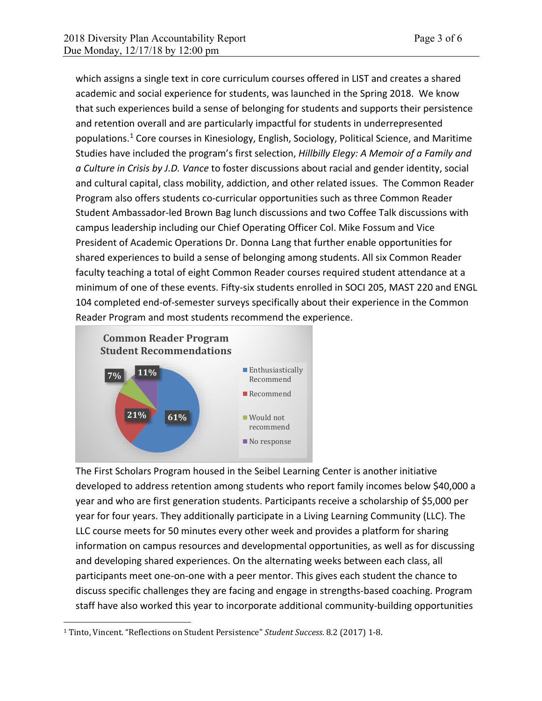which assigns a single text in core curriculum courses offered in LIST and creates a shared academic and social experience for students, was launched in the Spring 2018. We know that such experiences build a sense of belonging for students and supports their persistence and retention overall and are particularly impactful for students in underrepresented populations.<sup>[1](#page-2-0)</sup> Core courses in Kinesiology, English, Sociology, Political Science, and Maritime Studies have included the program's first selection, *Hillbilly Elegy: A Memoir of a Family and a Culture in Crisis by J.D. Vance* to foster discussions about racial and gender identity, social and cultural capital, class mobility, addiction, and other related issues. The Common Reader Program also offers students co-curricular opportunities such as three Common Reader Student Ambassador-led Brown Bag lunch discussions and two Coffee Talk discussions with campus leadership including our Chief Operating Officer Col. Mike Fossum and Vice President of Academic Operations Dr. Donna Lang that further enable opportunities for shared experiences to build a sense of belonging among students. All six Common Reader faculty teaching a total of eight Common Reader courses required student attendance at a minimum of one of these events. Fifty-six students enrolled in SOCI 205, MAST 220 and ENGL 104 completed end-of-semester surveys specifically about their experience in the Common Reader Program and most students recommend the experience.



The First Scholars Program housed in the Seibel Learning Center is another initiative developed to address retention among students who report family incomes below \$40,000 a year and who are first generation students. Participants receive a scholarship of \$5,000 per year for four years. They additionally participate in a Living Learning Community (LLC). The LLC course meets for 50 minutes every other week and provides a platform for sharing information on campus resources and developmental opportunities, as well as for discussing and developing shared experiences. On the alternating weeks between each class, all participants meet one-on-one with a peer mentor. This gives each student the chance to discuss specific challenges they are facing and engage in strengths-based coaching. Program staff have also worked this year to incorporate additional community-building opportunities

<span id="page-2-0"></span><sup>1</sup> Tinto, Vincent. "Reflections on Student Persistence" *Student Success*. 8.2 (2017) 1-8.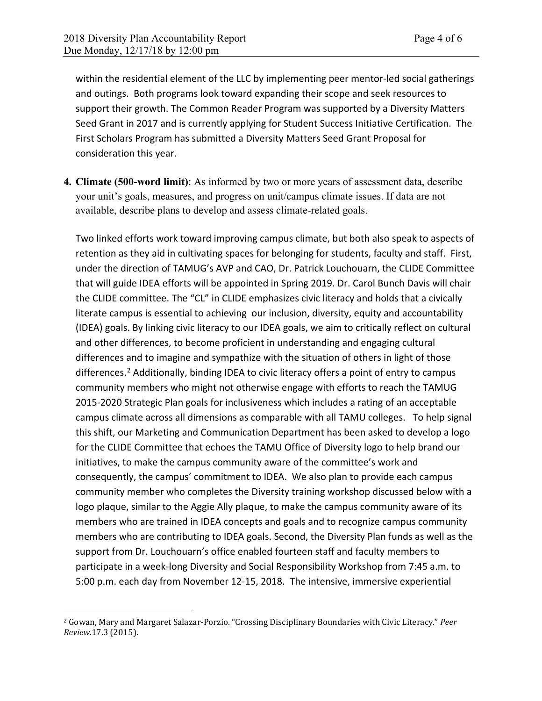within the residential element of the LLC by implementing peer mentor-led social gatherings and outings. Both programs look toward expanding their scope and seek resources to support their growth. The Common Reader Program was supported by a Diversity Matters Seed Grant in 2017 and is currently applying for Student Success Initiative Certification. The First Scholars Program has submitted a Diversity Matters Seed Grant Proposal for consideration this year.

**4. Climate (500-word limit)**: As informed by two or more years of assessment data, describe your unit's goals, measures, and progress on unit/campus climate issues. If data are not available, describe plans to develop and assess climate-related goals.

Two linked efforts work toward improving campus climate, but both also speak to aspects of retention as they aid in cultivating spaces for belonging for students, faculty and staff. First, under the direction of TAMUG's AVP and CAO, Dr. Patrick Louchouarn, the CLIDE Committee that will guide IDEA efforts will be appointed in Spring 2019. Dr. Carol Bunch Davis will chair the CLIDE committee. The "CL" in CLIDE emphasizes civic literacy and holds that a civically literate campus is essential to achieving our inclusion, diversity, equity and accountability (IDEA) goals. By linking civic literacy to our IDEA goals, we aim to critically reflect on cultural and other differences, to become proficient in understanding and engaging cultural differences and to imagine and sympathize with the situation of others in light of those differences.<sup>[2](#page-3-0)</sup> Additionally, binding IDEA to civic literacy offers a point of entry to campus community members who might not otherwise engage with efforts to reach the TAMUG 2015-2020 Strategic Plan goals for inclusiveness which includes a rating of an acceptable campus climate across all dimensions as comparable with all TAMU colleges. To help signal this shift, our Marketing and Communication Department has been asked to develop a logo for the CLIDE Committee that echoes the TAMU Office of Diversity logo to help brand our initiatives, to make the campus community aware of the committee's work and consequently, the campus' commitment to IDEA. We also plan to provide each campus community member who completes the Diversity training workshop discussed below with a logo plaque, similar to the Aggie Ally plaque, to make the campus community aware of its members who are trained in IDEA concepts and goals and to recognize campus community members who are contributing to IDEA goals. Second, the Diversity Plan funds as well as the support from Dr. Louchouarn's office enabled fourteen staff and faculty members to participate in a week-long Diversity and Social Responsibility Workshop from 7:45 a.m. to 5:00 p.m. each day from November 12-15, 2018. The intensive, immersive experiential

<span id="page-3-0"></span><sup>2</sup> Gowan, Mary and Margaret Salazar-Porzio. "Crossing Disciplinary Boundaries with Civic Literacy." *Peer Review.*17.3 (2015).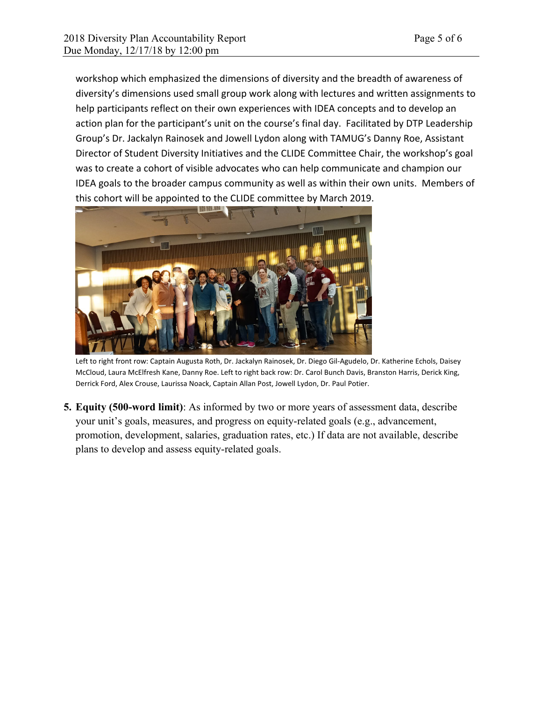workshop which emphasized the dimensions of diversity and the breadth of awareness of diversity's dimensions used small group work along with lectures and written assignments to help participants reflect on their own experiences with IDEA concepts and to develop an action plan for the participant's unit on the course's final day. Facilitated by DTP Leadership Group's Dr. Jackalyn Rainosek and Jowell Lydon along with TAMUG's Danny Roe, Assistant Director of Student Diversity Initiatives and the CLIDE Committee Chair, the workshop's goal was to create a cohort of visible advocates who can help communicate and champion our IDEA goals to the broader campus community as well as within their own units. Members of this cohort will be appointed to the CLIDE committee by March 2019.



Left to right front row: Captain Augusta Roth, Dr. Jackalyn Rainosek, Dr. Diego Gil-Agudelo, Dr. Katherine Echols, Daisey McCloud, Laura McElfresh Kane, Danny Roe. Left to right back row: Dr. Carol Bunch Davis, Branston Harris, Derick King, Derrick Ford, Alex Crouse, Laurissa Noack, Captain Allan Post, Jowell Lydon, Dr. Paul Potier.

**5. Equity (500-word limit)**: As informed by two or more years of assessment data, describe your unit's goals, measures, and progress on equity-related goals (e.g., advancement, promotion, development, salaries, graduation rates, etc.) If data are not available, describe plans to develop and assess equity-related goals.